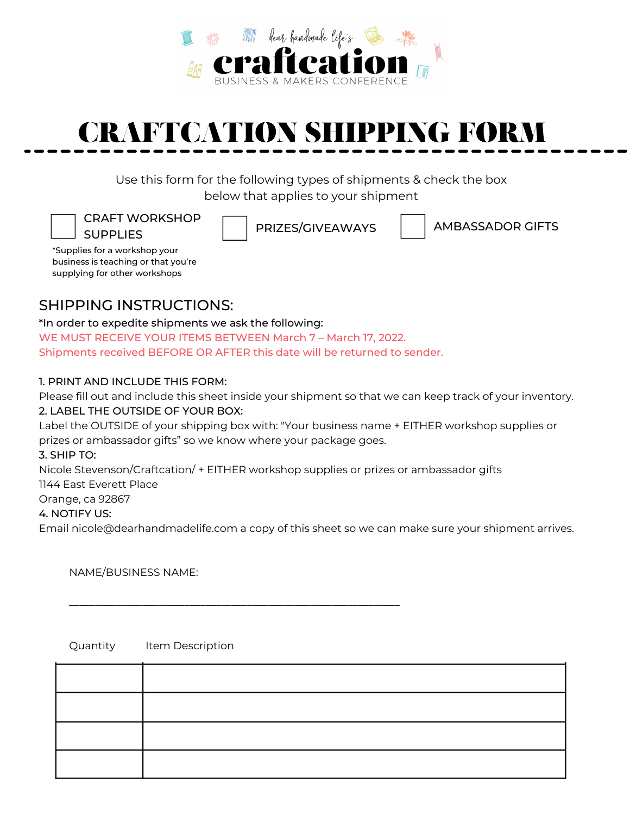

# **CRAFTCATION SHIPPING FORM**

Use this form for the following types of shipments & check the box below that applies to your shipment

CRAFT WORKSHOP **SUPPLIES** 

PRIZES/GIVEAWAYS | AMBASSADOR GIFTS

\*Supplies for a workshop your business is teaching or that you're supplying for other workshops

## SHIPPING INSTRUCTIONSي

\*In order to expedite shipments we ask the following: WE MUST RECEIVE YOUR ITEMS BETWEEN March 7 - March 17, 2022. Shipments received BEFORE OR AFTER this date will be returned to sender.

#### ِ PRINT AND INCLUDE THIS FORMي

Please fill out and include this sheet inside your shipment so that we can keep track of your inventory.

#### אِ LABEL THE OUTSIDE OF YOUR BOXي

Label the OUTSIDE of your shipping box with: "Your business name + EITHER workshop supplies or prizes or ambassador gifts" so we know where your package goes.

3. SHIP TO:

Nicole Stevenson/Craftcation/ + EITHER workshop supplies or prizes or ambassador gifts

ٗٗٗٗٗٗٗٗٗٗٗٗٗٗٗٗٗٗٗٗٗٗٗٗٗٗٗٗٗٗٗٗٗٗٗٗٗٗٗٗٗٗٗٗٗٗٗٗٗٗٗٗٗٗٗٗٗٗٗٗٗٗٗ

1144 East Everett Place

Orange, ca 92867

#### 4. NOTIFY US:

Email nicole@dearhandmadelife.com a copy of this sheet so we can make sure your shipment arrives.

NAME/BUSINESS NAME:

Quantity Item Description